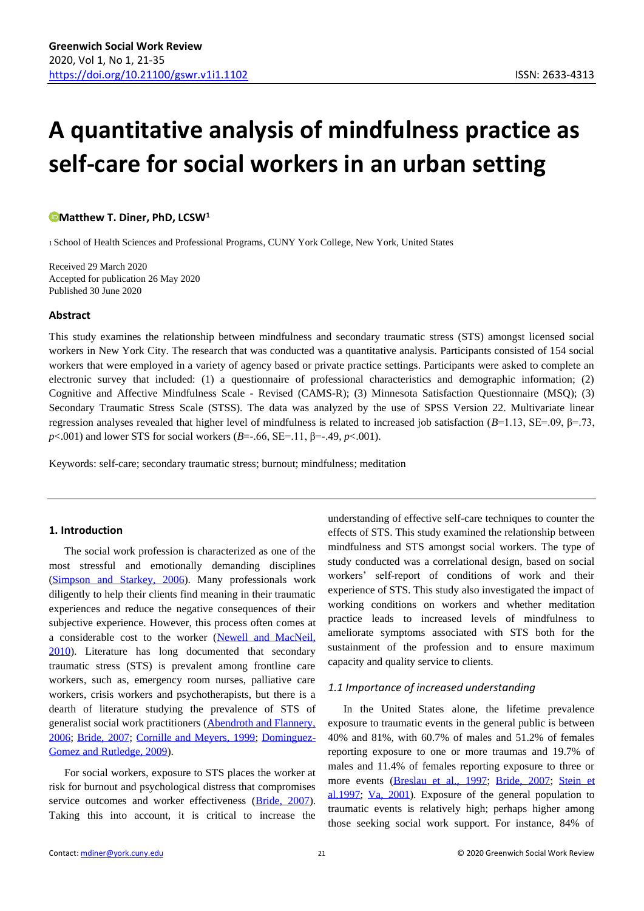# **A quantitative analysis of mindfulness practice as self-care for social workers in an urban setting**

# **[M](https://orcid.org/0000-0003-0481-1938)atthew T. Diner, PhD, LCSW<sup>1</sup>**

<sup>1</sup>School of Health Sciences and Professional Programs, CUNY York College, New York, United States

Received 29 March 2020 Accepted for publication 26 May 2020 Published 30 June 2020

# **Abstract**

This study examines the relationship between mindfulness and secondary traumatic stress (STS) amongst licensed social workers in New York City. The research that was conducted was a quantitative analysis. Participants consisted of 154 social workers that were employed in a variety of agency based or private practice settings. Participants were asked to complete an electronic survey that included: (1) a questionnaire of professional characteristics and demographic information; (2) Cognitive and Affective Mindfulness Scale - Revised (CAMS-R); (3) Minnesota Satisfaction Questionnaire (MSQ); (3) Secondary Traumatic Stress Scale (STSS). The data was analyzed by the use of SPSS Version 22. Multivariate linear regression analyses revealed that higher level of mindfulness is related to increased job satisfaction (*B*=1.13, SE=.09, β=.73, *p*<.001) and lower STS for social workers (*B*=-.66, SE=.11, β=-.49, *p*<.001).

Keywords: self-care; secondary traumatic stress; burnout; mindfulness; meditation

# **1. Introduction**

The social work profession is characterized as one of the most stressful and emotionally demanding disciplines [\(Simpson and Starkey, 2006\)](#page-13-0). Many professionals work diligently to help their clients find meaning in their traumatic experiences and reduce the negative consequences of their subjective experience. However, this process often comes at a considerable cost to the worker [\(Newell and MacNeil,](#page-13-1)  [2010\)](#page-13-1). Literature has long documented that secondary traumatic stress (STS) is prevalent among frontline care workers, such as, emergency room nurses, palliative care workers, crisis workers and psychotherapists, but there is a dearth of literature studying the prevalence of STS of generalist social work practitioners [\(Abendroth and Flannery,](#page-12-0)  [2006;](#page-12-0) [Bride, 2007;](#page-12-1) [Cornille and Meyers, 1999;](#page-12-2) [Dominguez-](#page-12-3)[Gomez and Rutledge, 2009\)](#page-12-3).

For social workers, exposure to STS places the worker at risk for burnout and psychological distress that compromises service outcomes and worker effectiveness [\(Bride, 2007\)](#page-12-1). Taking this into account, it is critical to increase the understanding of effective self-care techniques to counter the effects of STS. This study examined the relationship between mindfulness and STS amongst social workers. The type of study conducted was a correlational design, based on social workers' self-report of conditions of work and their experience of STS. This study also investigated the impact of working conditions on workers and whether meditation practice leads to increased levels of mindfulness to ameliorate symptoms associated with STS both for the sustainment of the profession and to ensure maximum capacity and quality service to clients.

# *1.1 Importance of increased understanding*

In the United States alone, the lifetime prevalence exposure to traumatic events in the general public is between 40% and 81%, with 60.7% of males and 51.2% of females reporting exposure to one or more traumas and 19.7% of males and 11.4% of females reporting exposure to three or more events [\(Breslau et al., 1997;](#page-12-4) [Bride, 2007;](#page-12-1) [Stein et](#page-14-0)  [al.1997;](#page-14-0) [Va, 2001\)](#page-14-1). Exposure of the general population to traumatic events is relatively high; perhaps higher among those seeking social work support. For instance, 84% of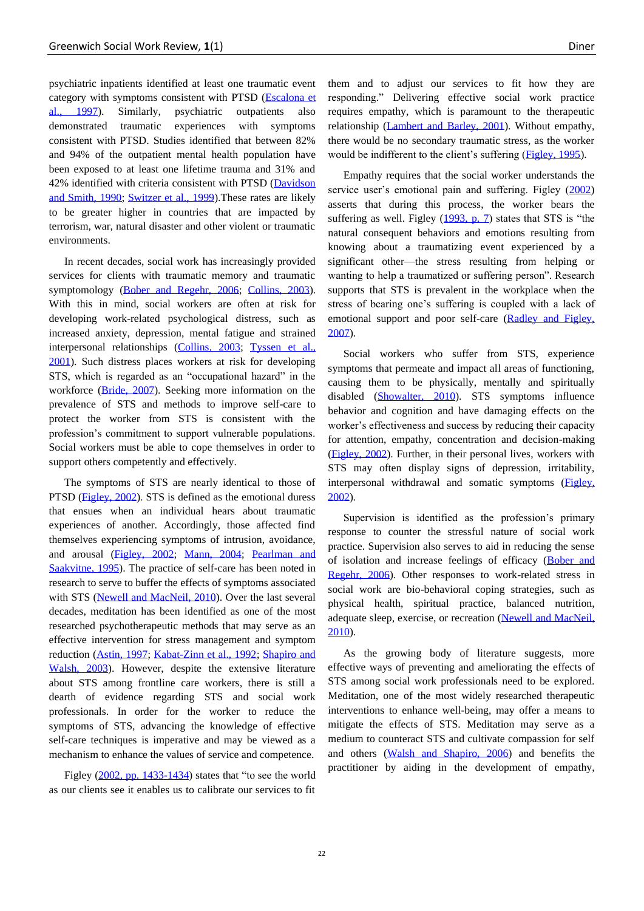psychiatric inpatients identified at least one traumatic event category with symptoms consistent with PTSD [\(Escalona et](#page-12-5)  [al., 1997\)](#page-12-5). Similarly, psychiatric outpatients also demonstrated traumatic experiences with symptoms consistent with PTSD. Studies identified that between 82% and 94% of the outpatient mental health population have been exposed to at least one lifetime trauma and 31% and 42% identified with criteria consistent with PTSD [\(Davidson](#page-12-6)  [and Smith, 1990;](#page-12-6) [Switzer et al., 1999\)](#page-14-2).These rates are likely to be greater higher in countries that are impacted by terrorism, war, natural disaster and other violent or traumatic environments.

In recent decades, social work has increasingly provided services for clients with traumatic memory and traumatic symptomology [\(Bober and Regehr, 2006;](#page-12-7) [Collins, 2003\)](#page-12-8). With this in mind, social workers are often at risk for developing work-related psychological distress, such as increased anxiety, depression, mental fatigue and strained interpersonal relationships [\(Collins, 2003;](#page-12-8) [Tyssen et al.,](#page-14-3)  [2001\)](#page-14-3). Such distress places workers at risk for developing STS, which is regarded as an "occupational hazard" in the workforce [\(Bride, 2007\)](#page-12-1). Seeking more information on the prevalence of STS and methods to improve self-care to protect the worker from STS is consistent with the profession's commitment to support vulnerable populations. Social workers must be able to cope themselves in order to support others competently and effectively.

The symptoms of STS are nearly identical to those of PTSD [\(Figley, 2002\)](#page-13-2). STS is defined as the emotional duress that ensues when an individual hears about traumatic experiences of another. Accordingly, those affected find themselves experiencing symptoms of intrusion, avoidance, and arousal [\(Figley, 2002;](#page-13-2) [Mann, 2004;](#page-13-3) [Pearlman and](#page-13-4)  [Saakvitne, 1995\)](#page-13-4). The practice of self-care has been noted in research to serve to buffer the effects of symptoms associated with STS [\(Newell and MacNeil, 2010\)](#page-13-1). Over the last several decades, meditation has been identified as one of the most researched psychotherapeutic methods that may serve as an effective intervention for stress management and symptom reduction [\(Astin, 1997;](#page-12-9) [Kabat-Zinn et al., 1992;](#page-13-5) [Shapiro and](#page-13-6)  [Walsh, 2003\)](#page-13-6). However, despite the extensive literature about STS among frontline care workers, there is still a dearth of evidence regarding STS and social work professionals. In order for the worker to reduce the symptoms of STS, advancing the knowledge of effective self-care techniques is imperative and may be viewed as a mechanism to enhance the values of service and competence.

Figley [\(2002, pp. 1433-1434\)](#page-13-2) states that "to see the world as our clients see it enables us to calibrate our services to fit

them and to adjust our services to fit how they are responding." Delivering effective social work practice requires empathy, which is paramount to the therapeutic relationship [\(Lambert and Barley, 2001\)](#page-13-7). Without empathy, there would be no secondary traumatic stress, as the worker would be indifferent to the client's suffering [\(Figley, 1995\)](#page-13-8).

Empathy requires that the social worker understands the service user's emotional pain and suffering. Figley [\(2002\)](#page-13-2) asserts that during this process, the worker bears the suffering as well. Figley  $(1993, p. 7)$  states that STS is "the natural consequent behaviors and emotions resulting from knowing about a traumatizing event experienced by a significant other—the stress resulting from helping or wanting to help a traumatized or suffering person". Research supports that STS is prevalent in the workplace when the stress of bearing one's suffering is coupled with a lack of emotional support and poor self-care [\(Radley and Figley,](#page-13-10)  [2007\)](#page-13-10).

Social workers who suffer from STS, experience symptoms that permeate and impact all areas of functioning, causing them to be physically, mentally and spiritually disabled [\(Showalter, 2010\)](#page-13-11). STS symptoms influence behavior and cognition and have damaging effects on the worker's effectiveness and success by reducing their capacity for attention, empathy, concentration and decision-making [\(Figley, 2002\)](#page-13-2). Further, in their personal lives, workers with STS may often display signs of depression, irritability, interpersonal withdrawal and somatic symptoms (Figley, [2002\)](#page-13-2).

Supervision is identified as the profession's primary response to counter the stressful nature of social work practice. Supervision also serves to aid in reducing the sense of isolation and increase feelings of efficacy [\(Bober and](#page-12-7)  [Regehr, 2006\)](#page-12-7). Other responses to work-related stress in social work are bio-behavioral coping strategies, such as physical health, spiritual practice, balanced nutrition, adequate sleep, exercise, or recreation [\(Newell and MacNeil,](#page-13-1)  [2010\)](#page-13-1).

As the growing body of literature suggests, more effective ways of preventing and ameliorating the effects of STS among social work professionals need to be explored. Meditation, one of the most widely researched therapeutic interventions to enhance well-being, may offer a means to mitigate the effects of STS. Meditation may serve as a medium to counteract STS and cultivate compassion for self and others [\(Walsh and Shapiro, 2006\)](#page-14-4) and benefits the practitioner by aiding in the development of empathy,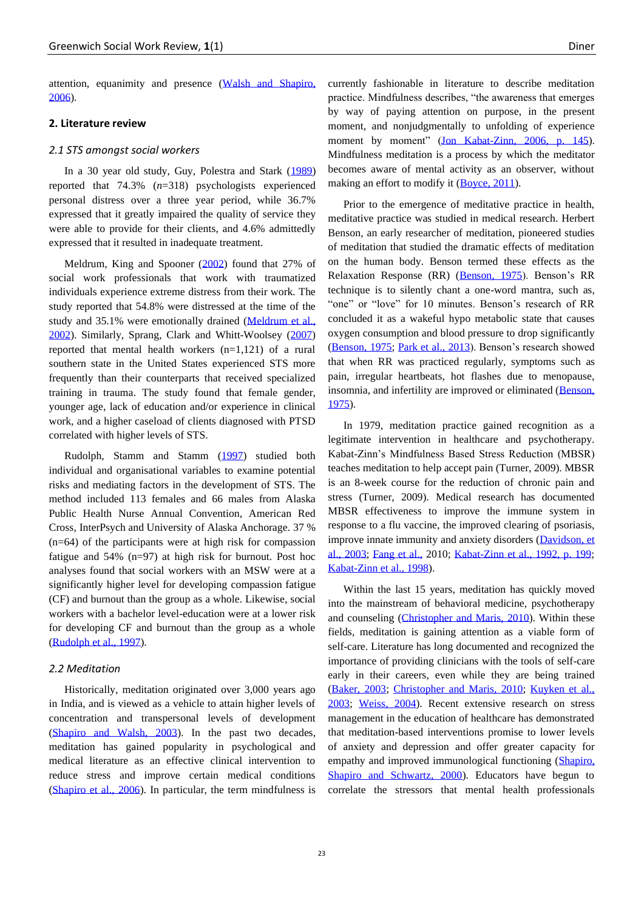attention, equanimity and presence [\(Walsh and Shapiro,](#page-14-4)  [2006\)](#page-14-4).

# **2. Literature review**

#### *2.1 STS amongst social workers*

In a 30 year old study, Guy, Polestra and Stark [\(1989\)](#page-13-12) reported that 74.3% (*n*=318) psychologists experienced personal distress over a three year period, while 36.7% expressed that it greatly impaired the quality of service they were able to provide for their clients, and 4.6% admittedly expressed that it resulted in inadequate treatment.

Meldrum, King and Spooner [\(2002\)](#page-13-13) found that 27% of social work professionals that work with traumatized individuals experience extreme distress from their work. The study reported that 54.8% were distressed at the time of the study and 35.1% were emotionally drained (Meldrum et al., [2002\)](#page-13-13). Similarly, Sprang, Clark and Whitt-Woolsey [\(2007\)](#page-14-5) reported that mental health workers (n=1,121) of a rural southern state in the United States experienced STS more frequently than their counterparts that received specialized training in trauma. The study found that female gender, younger age, lack of education and/or experience in clinical work, and a higher caseload of clients diagnosed with PTSD correlated with higher levels of STS.

Rudolph, Stamm and Stamm [\(1997\)](#page-13-14) studied both individual and organisational variables to examine potential risks and mediating factors in the development of STS. The method included 113 females and 66 males from Alaska Public Health Nurse Annual Convention, American Red Cross, InterPsych and University of Alaska Anchorage. 37 % (n=64) of the participants were at high risk for compassion fatigue and 54% (n=97) at high risk for burnout. Post hoc analyses found that social workers with an MSW were at a significantly higher level for developing compassion fatigue (CF) and burnout than the group as a whole. Likewise, social workers with a bachelor level-education were at a lower risk for developing CF and burnout than the group as a whole [\(Rudolph et al., 1997\)](#page-13-14).

# *2.2 Meditation*

Historically, meditation originated over 3,000 years ago in India, and is viewed as a vehicle to attain higher levels of concentration and transpersonal levels of development [\(Shapiro and Walsh, 2003\)](#page-13-6). In the past two decades, meditation has gained popularity in psychological and medical literature as an effective clinical intervention to reduce stress and improve certain medical conditions [\(Shapiro et al., 2006\)](#page-13-15). In particular, the term mindfulness is currently fashionable in literature to describe meditation practice. Mindfulness describes, "the awareness that emerges by way of paying attention on purpose, in the present moment, and nonjudgmentally to unfolding of experience moment by moment" [\(Jon Kabat-Zinn, 2006, p. 145\)](#page-13-16). Mindfulness meditation is a process by which the meditator becomes aware of mental activity as an observer, without making an effort to modify it [\(Boyce, 2011\)](#page-12-10).

Prior to the emergence of meditative practice in health, meditative practice was studied in medical research. Herbert Benson, an early researcher of meditation, pioneered studies of meditation that studied the dramatic effects of meditation on the human body. Benson termed these effects as the Relaxation Response (RR) [\(Benson, 1975\)](#page-12-11). Benson's RR technique is to silently chant a one-word mantra, such as, "one" or "love" for 10 minutes. Benson's research of RR concluded it as a wakeful hypo metabolic state that causes oxygen consumption and blood pressure to drop significantly [\(Benson, 1975;](#page-12-11) [Park et al., 2013\)](#page-13-17). Benson's research showed that when RR was practiced regularly, symptoms such as pain, irregular heartbeats, hot flashes due to menopause, insomnia, and infertility are improved or eliminated [\(Benson,](#page-12-11)  [1975\)](#page-12-11).

In 1979, meditation practice gained recognition as a legitimate intervention in healthcare and psychotherapy. Kabat-Zinn's Mindfulness Based Stress Reduction (MBSR) teaches meditation to help accept pain (Turner, 2009). MBSR is an 8-week course for the reduction of chronic pain and stress (Turner, 2009). Medical research has documented MBSR effectiveness to improve the immune system in response to a flu vaccine, the improved clearing of psoriasis, improve innate immunity and anxiety disorders [\(Davidson, et](#page-12-12)  [al., 2003;](#page-12-12) [Fang et al.,](#page-12-13) 2010; [Kabat-Zinn et al., 1992, p. 199;](#page-13-5) [Kabat-Zinn et al., 1998\)](#page-13-18).

Within the last 15 years, meditation has quickly moved into the mainstream of behavioral medicine, psychotherapy and counseling [\(Christopher and Maris, 2010\)](#page-12-14). Within these fields, meditation is gaining attention as a viable form of self-care. Literature has long documented and recognized the importance of providing clinicians with the tools of self-care early in their careers, even while they are being trained [\(Baker, 2003;](#page-12-15) [Christopher and Maris, 2010;](#page-12-14) [Kuyken et al.,](#page-13-18)  [2003;](#page-13-18) [Weiss, 2004\)](#page-14-6). Recent extensive research on stress management in the education of healthcare has demonstrated that meditation-based interventions promise to lower levels of anxiety and depression and offer greater capacity for empathy and improved immunological functioning [\(Shapiro,](#page-13-19)  [Shapiro and Schwartz, 2000\)](#page-13-19). Educators have begun to correlate the stressors that mental health professionals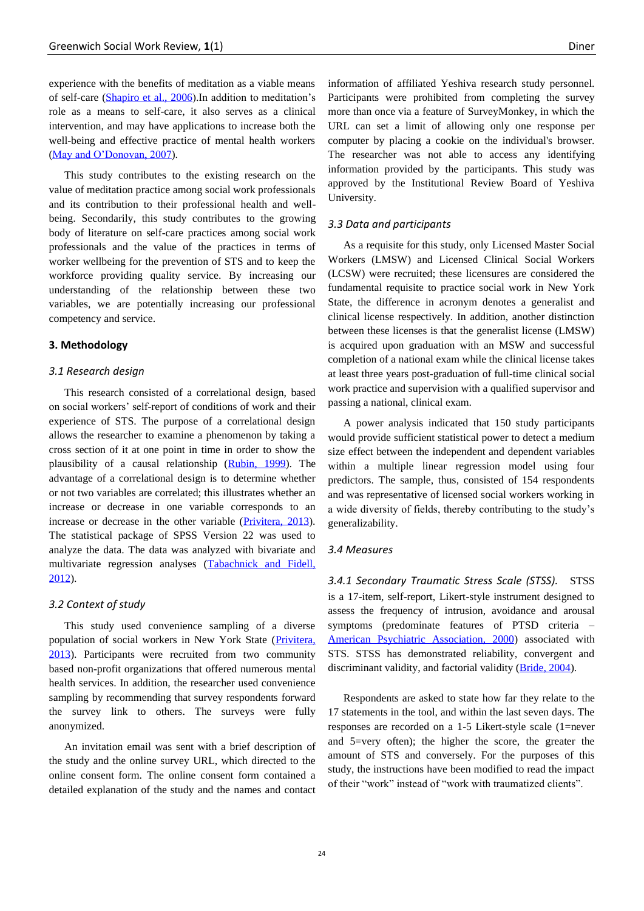experience with the benefits of meditation as a viable means of self-care [\(Shapiro et al., 2006\)](#page-13-15).In addition to meditation's role as a means to self-care, it also serves as a clinical intervention, and may have applications to increase both the well-being and effective practice of mental health workers [\(May and O'Donovan, 2007\)](#page-13-20).

This study contributes to the existing research on the value of meditation practice among social work professionals and its contribution to their professional health and wellbeing. Secondarily, this study contributes to the growing body of literature on self-care practices among social work professionals and the value of the practices in terms of worker wellbeing for the prevention of STS and to keep the workforce providing quality service. By increasing our understanding of the relationship between these two variables, we are potentially increasing our professional competency and service.

#### **3. Methodology**

# *3.1 Research design*

This research consisted of a correlational design, based on social workers' self-report of conditions of work and their experience of STS. The purpose of a correlational design allows the researcher to examine a phenomenon by taking a cross section of it at one point in time in order to show the plausibility of a causal relationship [\(Rubin, 1999\)](#page-13-21). The advantage of a correlational design is to determine whether or not two variables are correlated; this illustrates whether an increase or decrease in one variable corresponds to an increase or decrease in the other variable [\(Privitera, 2013\)](#page-13-22). The statistical package of SPSS Version 22 was used to analyze the data. The data was analyzed with bivariate and multivariate regression analyses [\(Tabachnick and Fidell,](#page-14-7)  [2012\)](#page-14-7).

#### *3.2 Context of study*

This study used convenience sampling of a diverse population of social workers in New York State [\(Privitera,](#page-13-22)  [2013\)](#page-13-22). Participants were recruited from two community based non-profit organizations that offered numerous mental health services. In addition, the researcher used convenience sampling by recommending that survey respondents forward the survey link to others. The surveys were fully anonymized.

An invitation email was sent with a brief description of the study and the online survey URL, which directed to the online consent form. The online consent form contained a detailed explanation of the study and the names and contact information of affiliated Yeshiva research study personnel. Participants were prohibited from completing the survey more than once via a feature of SurveyMonkey, in which the URL can set a limit of allowing only one response per computer by placing a cookie on the individual's browser. The researcher was not able to access any identifying information provided by the participants. This study was approved by the Institutional Review Board of Yeshiva University.

#### *3.3 Data and participants*

As a requisite for this study, only Licensed Master Social Workers (LMSW) and Licensed Clinical Social Workers (LCSW) were recruited; these licensures are considered the fundamental requisite to practice social work in New York State, the difference in acronym denotes a generalist and clinical license respectively. In addition, another distinction between these licenses is that the generalist license (LMSW) is acquired upon graduation with an MSW and successful completion of a national exam while the clinical license takes at least three years post-graduation of full-time clinical social work practice and supervision with a qualified supervisor and passing a national, clinical exam.

A power analysis indicated that 150 study participants would provide sufficient statistical power to detect a medium size effect between the independent and dependent variables within a multiple linear regression model using four predictors. The sample, thus, consisted of 154 respondents and was representative of licensed social workers working in a wide diversity of fields, thereby contributing to the study's generalizability.

### *3.4 Measures*

*3.4.1 Secondary Traumatic Stress Scale (STSS).* STSS is a 17-item, self-report, Likert-style instrument designed to assess the frequency of intrusion, avoidance and arousal symptoms (predominate features of PTSD criteria – [American Psychiatric Association, 2000\)](#page-12-16) associated with STS. STSS has demonstrated reliability, convergent and discriminant validity, and factorial validity [\(Bride, 2004\)](#page-12-17).

Respondents are asked to state how far they relate to the 17 statements in the tool, and within the last seven days. The responses are recorded on a 1-5 Likert-style scale (1=never and 5=very often); the higher the score, the greater the amount of STS and conversely. For the purposes of this study, the instructions have been modified to read the impact of their "work" instead of "work with traumatized clients".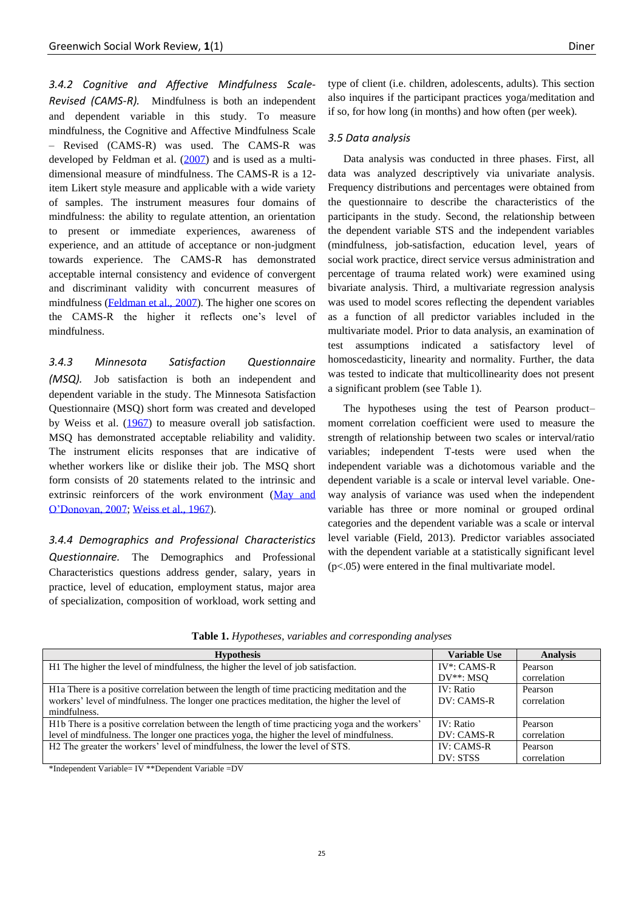*3.4.2 Cognitive and Affective Mindfulness Scale-Revised (CAMS-R).* Mindfulness is both an independent and dependent variable in this study. To measure mindfulness, the Cognitive and Affective Mindfulness Scale – Revised (CAMS-R) was used. The CAMS-R was developed by Feldman et al. [\(2007\)](#page-12-18) and is used as a multidimensional measure of mindfulness. The CAMS-R is a 12 item Likert style measure and applicable with a wide variety of samples. The instrument measures four domains of mindfulness: the ability to regulate attention, an orientation to present or immediate experiences, awareness of experience, and an attitude of acceptance or non-judgment towards experience. The CAMS-R has demonstrated acceptable internal consistency and evidence of convergent and discriminant validity with concurrent measures of mindfulness [\(Feldman et al., 2007\)](#page-12-18). The higher one scores on the CAMS-R the higher it reflects one's level of mindfulness.

*3.4.3 Minnesota Satisfaction Questionnaire (MSQ).* Job satisfaction is both an independent and dependent variable in the study. The Minnesota Satisfaction Questionnaire (MSQ) short form was created and developed by Weiss et al. [\(1967\)](#page-14-6) to measure overall job satisfaction. MSQ has demonstrated acceptable reliability and validity. The instrument elicits responses that are indicative of whether workers like or dislike their job. The MSQ short form consists of 20 statements related to the intrinsic and extrinsic reinforcers of the work environment [\(May and](#page-13-20)  [O'Donovan, 2007;](#page-13-20) [Weiss et al., 1967\)](#page-14-6).

*3.4.4 Demographics and Professional Characteristics Questionnaire.* The Demographics and Professional Characteristics questions address gender, salary, years in practice, level of education, employment status, major area of specialization, composition of workload, work setting and type of client (i.e. children, adolescents, adults). This section also inquires if the participant practices yoga/meditation and if so, for how long (in months) and how often (per week).

# *3.5 Data analysis*

Data analysis was conducted in three phases. First, all data was analyzed descriptively via univariate analysis. Frequency distributions and percentages were obtained from the questionnaire to describe the characteristics of the participants in the study. Second, the relationship between the dependent variable STS and the independent variables (mindfulness, job-satisfaction, education level, years of social work practice, direct service versus administration and percentage of trauma related work) were examined using bivariate analysis. Third, a multivariate regression analysis was used to model scores reflecting the dependent variables as a function of all predictor variables included in the multivariate model. Prior to data analysis, an examination of test assumptions indicated a satisfactory level of homoscedasticity, linearity and normality. Further, the data was tested to indicate that multicollinearity does not present a significant problem (see Table 1).

The hypotheses using the test of Pearson product– moment correlation coefficient were used to measure the strength of relationship between two scales or interval/ratio variables; independent T-tests were used when the independent variable was a dichotomous variable and the dependent variable is a scale or interval level variable. Oneway analysis of variance was used when the independent variable has three or more nominal or grouped ordinal categories and the dependent variable was a scale or interval level variable (Field, 2013). Predictor variables associated with the dependent variable at a statistically significant level (p<.05) were entered in the final multivariate model.

| Table 1. Hypotheses, variables and corresponding analyses |  |  |  |
|-----------------------------------------------------------|--|--|--|
|-----------------------------------------------------------|--|--|--|

| <b>Hypothesis</b>                                                                                         | <b>Variable Use</b> | <b>Analysis</b> |
|-----------------------------------------------------------------------------------------------------------|---------------------|-----------------|
| H <sub>1</sub> The higher the level of mindfulness, the higher the level of job satisfaction.             | $IV^*$ : CAMS-R     | Pearson         |
|                                                                                                           | $DV^{**}: MSO$      | correlation     |
| H <sub>1</sub> a There is a positive correlation between the length of time practicing meditation and the | IV: Ratio           | Pearson         |
| workers' level of mindfulness. The longer one practices meditation, the higher the level of               | DV: CAMS-R          | correlation     |
| mindfulness.                                                                                              |                     |                 |
| H1b There is a positive correlation between the length of time practicing yoga and the workers'           | IV: Ratio           | Pearson         |
| level of mindfulness. The longer one practices yoga, the higher the level of mindfulness.                 | DV: CAMS-R          | correlation     |
| H2 The greater the workers' level of mindfulness, the lower the level of STS.                             | $IV: CAMS-R$        | Pearson         |
|                                                                                                           | DV: STSS            | correlation     |

\*Independent Variable= IV \*\*Dependent Variable =DV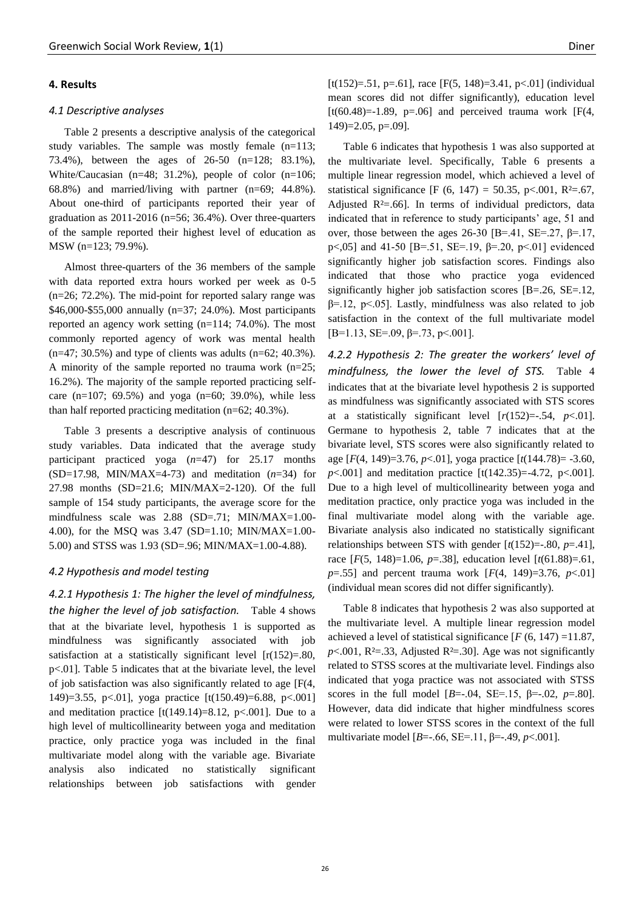# **4. Results**

#### *4.1 Descriptive analyses*

Table 2 presents a descriptive analysis of the categorical study variables. The sample was mostly female (n=113; 73.4%), between the ages of 26-50 (n=128; 83.1%), White/Caucasian  $(n=48; 31.2\%)$ , people of color  $(n=106;$ 68.8%) and married/living with partner (n=69; 44.8%). About one-third of participants reported their year of graduation as 2011-2016 (n=56; 36.4%). Over three-quarters of the sample reported their highest level of education as MSW (n=123; 79.9%).

Almost three-quarters of the 36 members of the sample with data reported extra hours worked per week as 0-5 (n=26; 72.2%). The mid-point for reported salary range was \$46,000-\$55,000 annually (n=37; 24.0%). Most participants reported an agency work setting (n=114; 74.0%). The most commonly reported agency of work was mental health  $(n=47; 30.5\%)$  and type of clients was adults  $(n=62; 40.3\%)$ . A minority of the sample reported no trauma work  $(n=25;$ 16.2%). The majority of the sample reported practicing selfcare  $(n=107; 69.5%)$  and yoga  $(n=60; 39.0%)$ , while less than half reported practicing meditation (n=62; 40.3%).

Table 3 presents a descriptive analysis of continuous study variables. Data indicated that the average study participant practiced yoga (*n*=47) for 25.17 months (SD=17.98, MIN/MAX=4-73) and meditation (*n*=34) for 27.98 months (SD=21.6; MIN/MAX=2-120). Of the full sample of 154 study participants, the average score for the mindfulness scale was 2.88 (SD=.71; MIN/MAX=1.00- 4.00), for the MSQ was 3.47 (SD=1.10; MIN/MAX=1.00- 5.00) and STSS was 1.93 (SD=.96; MIN/MAX=1.00-4.88).

# *4.2 Hypothesis and model testing*

*4.2.1 Hypothesis 1: The higher the level of mindfulness, the higher the level of job satisfaction.* Table 4 shows that at the bivariate level, hypothesis 1 is supported as mindfulness was significantly associated with job satisfaction at a statistically significant level  $[r(152)=0.80]$ , p<.01]. Table 5 indicates that at the bivariate level, the level of job satisfaction was also significantly related to age [F(4, 149)=3.55, p<.01], yoga practice [t(150.49)=6.88, p<.001] and meditation practice  $[t(149.14)=8.12, p<.001]$ . Due to a high level of multicollinearity between yoga and meditation practice, only practice yoga was included in the final multivariate model along with the variable age. Bivariate analysis also indicated no statistically significant relationships between job satisfactions with gender [t(152)=.51, p=.61], race [F(5, 148)=3.41, p<.01] (individual mean scores did not differ significantly), education level  $[t(60.48)=1.89, p=.06]$  and perceived trauma work  $[F(4,$  $149$ =2.05, p=.09].

Table 6 indicates that hypothesis 1 was also supported at the multivariate level. Specifically, Table 6 presents a multiple linear regression model, which achieved a level of statistical significance [F (6, 147) = 50.35, p<.001,  $R^2 = .67$ , Adjusted  $R^2 = .66$ ]. In terms of individual predictors, data indicated that in reference to study participants' age, 51 and over, those between the ages 26-30 [B=.41, SE=.27,  $\beta$ =.17, p <, 05] and 41-50 [B = .51, SE = .19, β = .20, p < .01] evidenced significantly higher job satisfaction scores. Findings also indicated that those who practice yoga evidenced significantly higher job satisfaction scores [B=.26, SE=.12, β=.12, p<.05]. Lastly, mindfulness was also related to job satisfaction in the context of the full multivariate model  $[B=1.13, SE=.09, \beta=.73, p<.001$ ].

*4.2.2 Hypothesis 2: The greater the workers' level of mindfulness, the lower the level of STS.* Table 4 indicates that at the bivariate level hypothesis 2 is supported as mindfulness was significantly associated with STS scores at a statistically significant level  $[r(152)=0.54, p<0.01]$ . Germane to hypothesis 2, table 7 indicates that at the bivariate level, STS scores were also significantly related to age [*F*(4, 149)=3.76, *p*<.01], yoga practice [*t*(144.78)= -3.60, *p*<.001] and meditation practice [t(142.35)=-4.72, p<.001]. Due to a high level of multicollinearity between yoga and meditation practice, only practice yoga was included in the final multivariate model along with the variable age. Bivariate analysis also indicated no statistically significant relationships between STS with gender [*t*(152)=-.80, *p*=.41], race [*F*(5, 148)=1.06, *p*=.38], education level [*t*(61.88)=.61, *p*=.55] and percent trauma work [*F*(4, 149)=3.76, *p*<.01] (individual mean scores did not differ significantly).

Table 8 indicates that hypothesis 2 was also supported at the multivariate level. A multiple linear regression model achieved a level of statistical significance  $[F(6, 147) = 11.87]$ ,  $p$ <.001, R<sup>2</sup>=.33, Adjusted R<sup>2</sup>=.30]. Age was not significantly related to STSS scores at the multivariate level. Findings also indicated that yoga practice was not associated with STSS scores in the full model  $[B=-.04, SE=-.15, B=-.02, p=.80$ . However, data did indicate that higher mindfulness scores were related to lower STSS scores in the context of the full multivariate model [*B*=-.66, SE=.11, β=-.49, *p*<.001].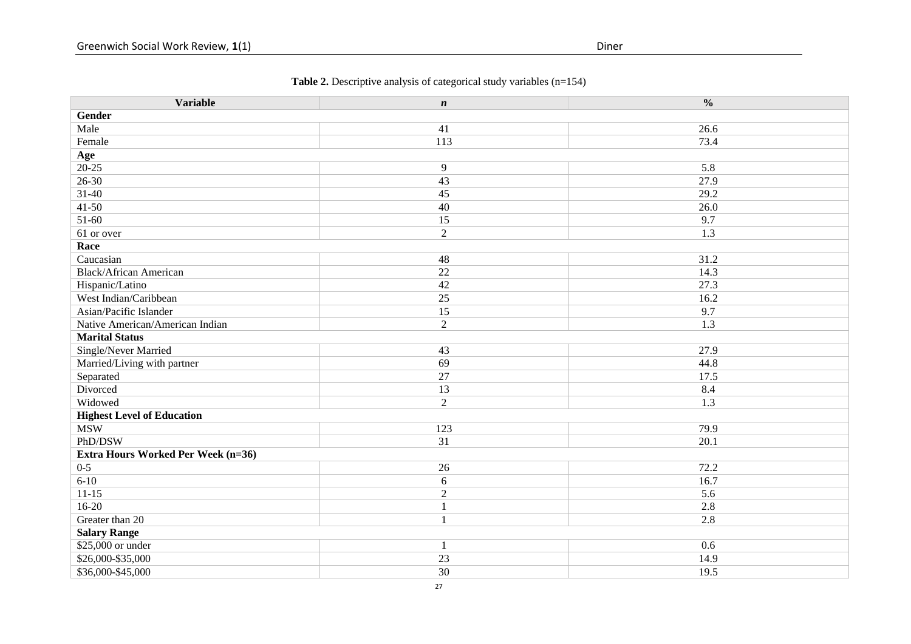# **Table 2.** Descriptive analysis of categorical study variables (n=154)

| <b>Variable</b>                           | $\boldsymbol{n}$ | $\frac{0}{0}$ |
|-------------------------------------------|------------------|---------------|
| Gender                                    |                  |               |
| Male                                      | 41               | 26.6          |
| Female                                    | 113              | 73.4          |
| Age                                       |                  |               |
| $20 - 25$                                 | 9                | 5.8           |
| $26 - 30$                                 | 43               | 27.9          |
| $31 - 40$                                 | 45               | 29.2          |
| $41 - 50$                                 | 40               | 26.0          |
| 51-60                                     | 15               | 9.7           |
| 61 or over                                | $\overline{2}$   | 1.3           |
| Race                                      |                  |               |
| Caucasian                                 | 48               | 31.2          |
| <b>Black/African American</b>             | 22               | 14.3          |
| Hispanic/Latino                           | 42               | 27.3          |
| West Indian/Caribbean                     | 25               | 16.2          |
| Asian/Pacific Islander                    | 15               | 9.7           |
| Native American/American Indian           | $\sqrt{2}$       | 1.3           |
| <b>Marital Status</b>                     |                  |               |
| Single/Never Married                      | 43               | 27.9          |
| Married/Living with partner               | 69               | 44.8          |
| Separated                                 | 27               | 17.5          |
| Divorced                                  | 13               | 8.4           |
| Widowed                                   | $\sqrt{2}$       | 1.3           |
| <b>Highest Level of Education</b>         |                  |               |
| <b>MSW</b>                                | 123              | 79.9          |
| PhD/DSW                                   | $\overline{31}$  | 20.1          |
| <b>Extra Hours Worked Per Week (n=36)</b> |                  |               |
| $0 - 5$                                   | 26               | 72.2          |
| $6 - 10$                                  | 6                | 16.7          |
| $11-15$                                   | $\sqrt{2}$       | 5.6           |
| $16-20$                                   | $\mathbf{1}$     | 2.8           |
| Greater than 20                           | $\mathbf{1}$     | 2.8           |
| <b>Salary Range</b>                       |                  |               |
| \$25,000 or under                         | $\mathbf{1}$     | 0.6           |
| \$26,000-\$35,000                         | 23               | 14.9          |
| \$36,000-\$45,000                         | 30               | 19.5          |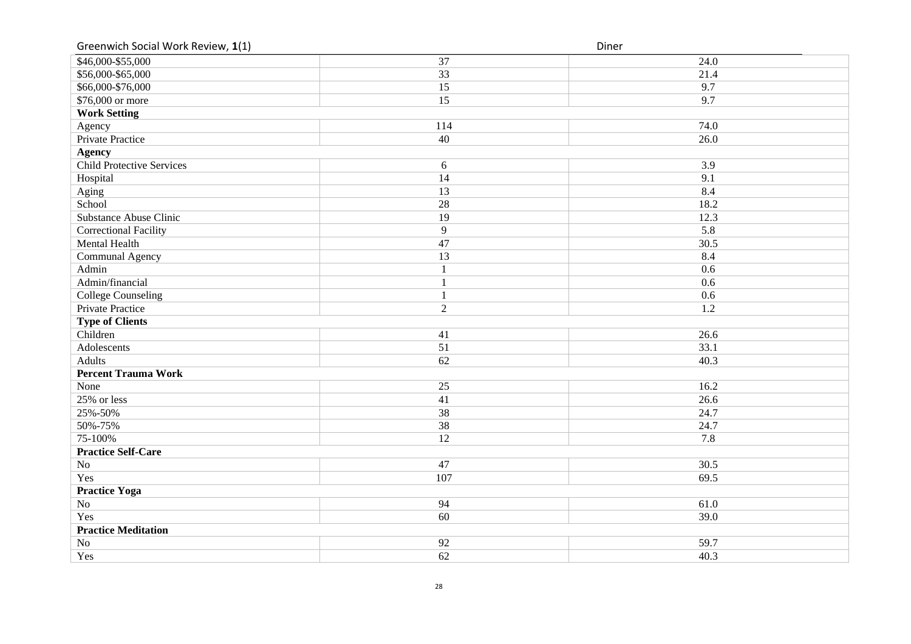Greenwich Social Work Review,

| Greenwich Social Work Review, 1(1) |                 | Diner |
|------------------------------------|-----------------|-------|
| \$46,000-\$55,000                  | 37              | 24.0  |
| \$56,000-\$65,000                  | 33              | 21.4  |
| \$66,000-\$76,000                  | 15              | 9.7   |
| \$76,000 or more                   | 15              | 9.7   |
| <b>Work Setting</b>                |                 |       |
| Agency                             | 114             | 74.0  |
| <b>Private Practice</b>            | 40              | 26.0  |
| <b>Agency</b>                      |                 |       |
| Child Protective Services          | $6\,$           | 3.9   |
| Hospital                           | 14              | 9.1   |
| Aging                              | 13              | 8.4   |
| School                             | 28              | 18.2  |
| <b>Substance Abuse Clinic</b>      | 19              | 12.3  |
| <b>Correctional Facility</b>       | 9               | 5.8   |
| <b>Mental Health</b>               | 47              | 30.5  |
| Communal Agency                    | $\overline{13}$ | 8.4   |
| Admin                              | $\overline{1}$  | 0.6   |
| Admin/financial                    | $\mathbf{1}$    | 0.6   |
| <b>College Counseling</b>          | $\mathbf{1}$    | 0.6   |
| <b>Private Practice</b>            | $\overline{2}$  | 1.2   |
| <b>Type of Clients</b>             |                 |       |
| Children                           | 41              | 26.6  |
| Adolescents                        | $\overline{51}$ | 33.1  |
| Adults                             | 62              | 40.3  |
| <b>Percent Trauma Work</b>         |                 |       |
| None                               | 25              | 16.2  |
| 25% or less                        | 41              | 26.6  |
| 25%-50%                            | 38              | 24.7  |
| 50%-75%                            | 38              | 24.7  |
| 75-100%                            | $\overline{12}$ | 7.8   |
| <b>Practice Self-Care</b>          |                 |       |
| No                                 | 47              | 30.5  |
| Yes                                | 107             | 69.5  |
| <b>Practice Yoga</b>               |                 |       |
| No                                 | 94              | 61.0  |
| Yes                                | 60              | 39.0  |
| <b>Practice Meditation</b>         |                 |       |
| $\rm No$                           | 92              | 59.7  |
| Yes                                | 62              | 40.3  |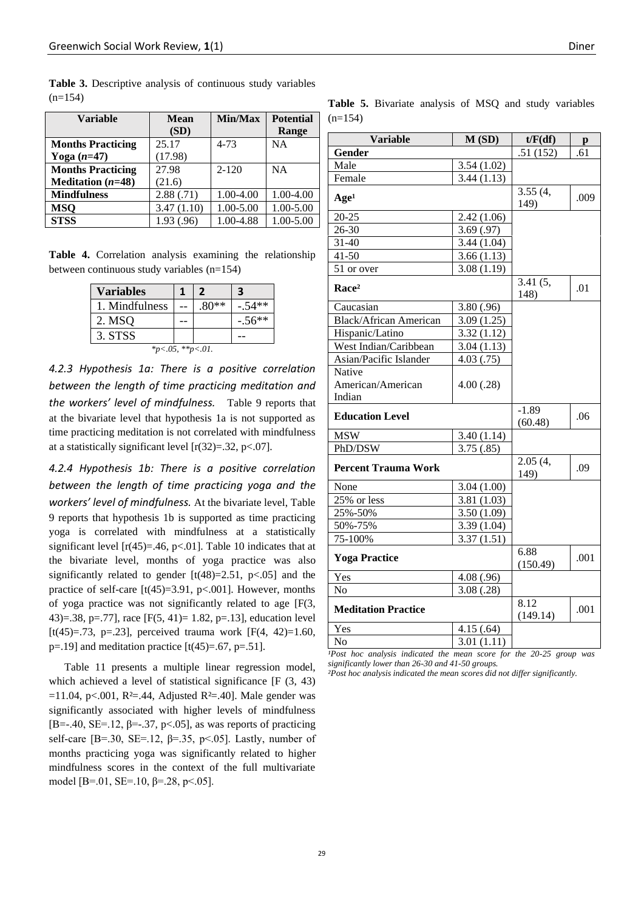| <b>Variable</b>            | <b>Mean</b><br>(SD) | Min/Max       | <b>Potential</b><br>Range |
|----------------------------|---------------------|---------------|---------------------------|
| <b>Months Practicing</b>   | 25.17               | $4 - 73$      | <b>NA</b>                 |
| Yoga $(n=47)$              | (17.98)             |               |                           |
| <b>Months Practicing</b>   | 27.98               | $2 - 120$     | NA                        |
| <b>Meditation</b> $(n=48)$ | (21.6)              |               |                           |
| <b>Mindfulness</b>         | 2.88(.71)           | $1.00 - 4.00$ | 1.00-4.00                 |
| <b>MSQ</b>                 | 3.47(1.10)          | 1.00-5.00     | 1.00-5.00                 |
| <b>STSS</b>                | 1.93 (.96)          | 1.00-4.88     | 1.00-5.00                 |

**Table 3.** Descriptive analysis of continuous study variables  $(n=154)$ 

**Table 4.** Correlation analysis examining the relationship between continuous study variables (n=154)

| <b>Variables</b> |  | 7       | З        |  |
|------------------|--|---------|----------|--|
| 1. Mindfulness   |  | $.80**$ | $-.54**$ |  |
| 2. MSQ           |  |         | $-.56**$ |  |
| 3. STSS          |  |         |          |  |
| *p<.05, **p<.01. |  |         |          |  |

*4.2.3 Hypothesis 1a: There is a positive correlation between the length of time practicing meditation and the workers' level of mindfulness.* Table 9 reports that at the bivariate level that hypothesis 1a is not supported as time practicing meditation is not correlated with mindfulness at a statistically significant level  $[r(32)=.32, p<.07]$ .

*4.2.4 Hypothesis 1b: There is a positive correlation between the length of time practicing yoga and the workers' level of mindfulness.* At the bivariate level, Table 9 reports that hypothesis 1b is supported as time practicing yoga is correlated with mindfulness at a statistically significant level  $[r(45)=.46, p<.01]$ . Table 10 indicates that at the bivariate level, months of yoga practice was also significantly related to gender  $[t(48)=2.51, p<0.05]$  and the practice of self-care  $[t(45)=3.91, p<.001]$ . However, months of yoga practice was not significantly related to age [F(3, 43)=.38, p=.77], race [F(5, 41)= 1.82, p=.13], education level [t(45)=.73, p=.23], perceived trauma work  $[F(4, 42)=1.60]$ ,  $p=19$ ] and meditation practice [t(45)=.67,  $p=.51$ ].

Table 11 presents a multiple linear regression model, which achieved a level of statistical significance [F  $(3, 43)$ ]  $=11.04$ , p<.001, R<sup>2</sup>=.44, Adjusted R<sup>2</sup>=.40]. Male gender was significantly associated with higher levels of mindfulness [B=-.40, SE=.12,  $\beta$ =-.37, p<.05], as was reports of practicing self-care [B=.30, SE=.12,  $\beta$ =.35, p<.05]. Lastly, number of months practicing yoga was significantly related to higher mindfulness scores in the context of the full multivariate model [B=.01, SE=.10,  $\beta$ =.28, p<.05].

| <b>Variable</b>               | M(SD)      | t/F(df)            | p    |
|-------------------------------|------------|--------------------|------|
| Gender                        |            | .51(152)           | .61  |
| Male                          | 3.54(1.02) |                    |      |
| Female                        | 3.44(1.13) |                    |      |
| Age <sup>1</sup>              |            | 3.55(4,<br>149)    | .009 |
| $20 - 25$                     | 2.42(1.06) |                    |      |
| 26-30                         | 3.69(.97)  |                    |      |
| $31 - 40$                     | 3.44(1.04) |                    |      |
| $41 - 50$                     | 3.66(1.13) |                    |      |
| 51 or over                    | 3.08(1.19) |                    |      |
| Race <sup>2</sup>             |            | 3.41(5,<br>148)    | .01  |
| Caucasian                     | 3.80 (.96) |                    |      |
| <b>Black/African American</b> | 3.09(1.25) |                    |      |
| Hispanic/Latino               | 3.32(1.12) |                    |      |
| West Indian/Caribbean         | 3.04(1.13) |                    |      |
| Asian/Pacific Islander        | 4.03(.75)  |                    |      |
| Native                        |            |                    |      |
| American/American             | 4.00(.28)  |                    |      |
| Indian                        |            |                    |      |
| <b>Education Level</b>        |            | $-1.89$<br>(60.48) | .06  |
| <b>MSW</b>                    | 3.40(1.14) |                    |      |
| PhD/DSW                       | 3.75(.85)  |                    |      |
| <b>Percent Trauma Work</b>    |            | 2.05(4,<br>149)    | .09  |
| None                          | 3.04(1.00) |                    |      |
| $25%$ or less                 | 3.81(1.03) |                    |      |
| 25%-50%                       | 3.50(1.09) |                    |      |
| 50%-75%                       | 3.39(1.04) |                    |      |
| 75-100%                       | 3.37(1.51) |                    |      |
| <b>Yoga Practice</b>          |            | 6.88<br>(150.49)   | .001 |
| Yes                           | 4.08 (.96) |                    |      |
| N <sub>o</sub>                | 3.08(.28)  |                    |      |
| <b>Meditation Practice</b>    |            | 8.12<br>(149.14)   | .001 |
| Yes                           | 4.15(.64)  |                    |      |
| No                            | 3.01(1.11) |                    |      |

**Table 5.** Bivariate analysis of MSQ and study variables

 $(n=154)$ 

*¹Post hoc analysis indicated the mean score for the 20-25 group was significantly lower than 26-30 and 41-50 groups.*

*²Post hoc analysis indicated the mean scores did not differ significantly.*

29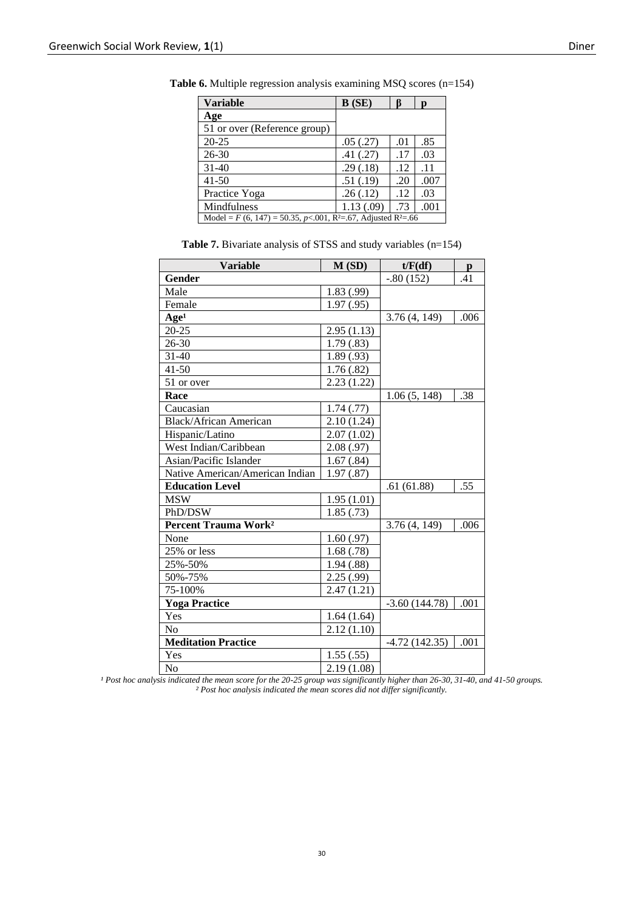| <b>Variable</b>                                                                          | B(SE)      |     | D    |
|------------------------------------------------------------------------------------------|------------|-----|------|
| Age                                                                                      |            |     |      |
| 51 or over (Reference group)                                                             |            |     |      |
| $20 - 25$                                                                                | .05(.27)   | .01 | .85  |
| $26 - 30$                                                                                | .41(.27)   | .17 | .03  |
| $31 - 40$                                                                                | .29(.18)   | .12 | .11  |
| $41 - 50$                                                                                | .51(.19)   | .20 | .007 |
| Practice Yoga                                                                            | .26(.12)   | .12 | .03  |
| Mindfulness                                                                              | 1.13(0.09) | .73 | .001 |
| Model = $F(6, 147)$ = 50.35, p < 0.01, R <sup>2</sup> = 67, Adjusted R <sup>2</sup> = 66 |            |     |      |

**Table 6.** Multiple regression analysis examining MSQ scores (n=154)

**Table 7.** Bivariate analysis of STSS and study variables (n=154)

| <b>Variable</b>                        | M(SD)      | t/F(df)         | $\mathbf{p}$ |
|----------------------------------------|------------|-----------------|--------------|
| <b>Gender</b>                          |            | $-.80(152)$     | .41          |
| Male                                   | 1.83(.99)  |                 |              |
| Female                                 | 1.97(0.95) |                 |              |
| Age <sup>1</sup>                       |            | 3.76(4, 149)    | .006         |
| $20 - 25$                              | 2.95(1.13) |                 |              |
| $26 - 30$                              | 1.79(.83)  |                 |              |
| $31 - 40$                              | 1.89(.93)  |                 |              |
| $41 - 50$                              | 1.76(.82)  |                 |              |
| 51 or over                             | 2.23(1.22) |                 |              |
| Race                                   |            | 1.06(5, 148)    | .38          |
| Caucasian                              | 1.74(0.77) |                 |              |
| <b>Black/African American</b>          | 2.10(1.24) |                 |              |
| Hispanic/Latino                        | 2.07(1.02) |                 |              |
| West Indian/Caribbean                  | 2.08(.97)  |                 |              |
| Asian/Pacific Islander                 | 1.67(.84)  |                 |              |
| Native American/American Indian        | 1.97(.87)  |                 |              |
| <b>Education Level</b>                 |            | .61(61.88)      | .55          |
| <b>MSW</b>                             | 1.95(1.01) |                 |              |
| PhD/DSW                                | 1.85(.73)  |                 |              |
| <b>Percent Trauma Work<sup>2</sup></b> |            | 3.76(4, 149)    | .006         |
| None                                   | 1.60(.97)  |                 |              |
| 25% or less                            | 1.68(.78)  |                 |              |
| 25%-50%                                | 1.94(.88)  |                 |              |
| 50%-75%                                | 2.25(.99)  |                 |              |
| 75-100%                                | 2.47(1.21) |                 |              |
| <b>Yoga Practice</b>                   |            | $-3.60(144.78)$ | .001         |
| Yes                                    | 1.64(1.64) |                 |              |
| N <sub>o</sub>                         | 2.12(1.10) |                 |              |
| <b>Meditation Practice</b>             |            | $-4.72(142.35)$ | .001         |
| Yes                                    | 1.55(.55)  |                 |              |
| N <sub>0</sub>                         | 2.19(1.08) |                 |              |

<sup>1</sup> Post hoc analysis indicated the mean score for the 20-25 group was significantly higher than 26-30, 31-40, and 41-50 groups. *² Post hoc analysis indicated the mean scores did not differ significantly.*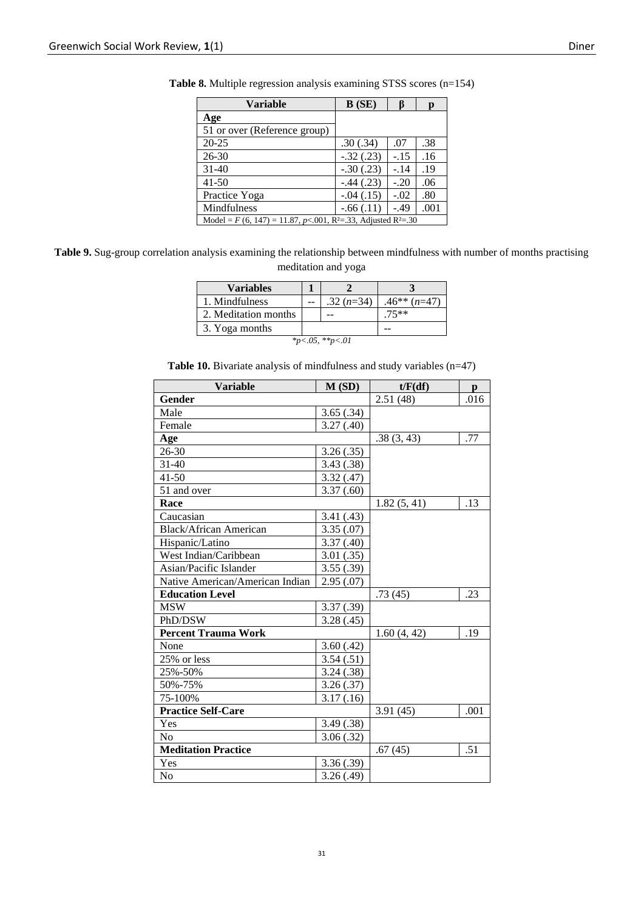| <b>Variable</b>                                                                         | B(SE)       |        |      |
|-----------------------------------------------------------------------------------------|-------------|--------|------|
| Age                                                                                     |             |        |      |
| 51 or over (Reference group)                                                            |             |        |      |
| 20-25                                                                                   | .30(.34)    | .07    | .38  |
| $26 - 30$                                                                               | $-.32(.23)$ | $-.15$ | .16  |
| $31-40$                                                                                 | $-.30(.23)$ | $-.14$ | .19  |
| $41 - 50$                                                                               | $-.44(.23)$ | $-.20$ | .06  |
| Practice Yoga                                                                           | $-.04(.15)$ | $-.02$ | .80  |
| Mindfulness                                                                             | $-.66(.11)$ | $-.49$ | .001 |
| Model = $F(6, 147) = 11.87$ , p<.001, R <sup>2</sup> =.33, Adjusted R <sup>2</sup> =.30 |             |        |      |

**Table 8.** Multiple regression analysis examining STSS scores (n=154)

**Table 9.** Sug-group correlation analysis examining the relationship between mindfulness with number of months practising meditation and yoga

| <b>Variables</b>     |  |             |                  |  |  |
|----------------------|--|-------------|------------------|--|--|
| 1. Mindfulness       |  | $.32(n=34)$ | $.46**$ $(n=47)$ |  |  |
| 2. Meditation months |  |             | $75***$          |  |  |
| 3. Yoga months       |  |             |                  |  |  |
| *p<.05, **p<.01      |  |             |                  |  |  |

|  | <b>Table 10.</b> Bivariate analysis of mindfulness and study variables $(n=47)$ |  |  |
|--|---------------------------------------------------------------------------------|--|--|
|  |                                                                                 |  |  |

| <b>Variable</b>                 | M(SD)      | t/F(df)     | p    |
|---------------------------------|------------|-------------|------|
| Gender                          |            | 2.51(48)    | .016 |
| Male                            | 3.65(.34)  |             |      |
| Female                          | 3.27(.40)  |             |      |
| Age                             |            | .38(3, 43)  | .77  |
| 26-30                           | 3.26(.35)  |             |      |
| 31-40                           | 3.43(.38)  |             |      |
| $41 - 50$                       | 3.32(.47)  |             |      |
| 51 and over                     | 3.37(.60)  |             |      |
| Race                            |            | 1.82(5, 41) | .13  |
| Caucasian                       | 3.41(.43)  |             |      |
| <b>Black/African American</b>   | 3.35(.07)  |             |      |
| Hispanic/Latino                 | 3.37(0.40) |             |      |
| West Indian/Caribbean           | 3.01(.35)  |             |      |
| Asian/Pacific Islander          | 3.55(.39)  |             |      |
| Native American/American Indian | 2.95(.07)  |             |      |
| <b>Education Level</b>          |            | .73(45)     | .23  |
| <b>MSW</b>                      | 3.37(.39)  |             |      |
| PhD/DSW                         | 3.28(.45)  |             |      |
| <b>Percent Trauma Work</b>      |            | 1.60(4, 42) | .19  |
| None                            | 3.60(.42)  |             |      |
| 25% or less                     | 3.54(.51)  |             |      |
| 25%-50%                         | 3.24(.38)  |             |      |
| 50%-75%                         | 3.26(.37)  |             |      |
| 75-100%                         | 3.17(0.16) |             |      |
| <b>Practice Self-Care</b>       |            | 3.91(45)    | .001 |
| Yes                             | 3.49(.38)  |             |      |
| N <sub>o</sub>                  | 3.06(.32)  |             |      |
| <b>Meditation Practice</b>      |            | .67(45)     | .51  |
| Yes                             | 3.36(.39)  |             |      |
| N <sub>o</sub>                  | 3.26(.49)  |             |      |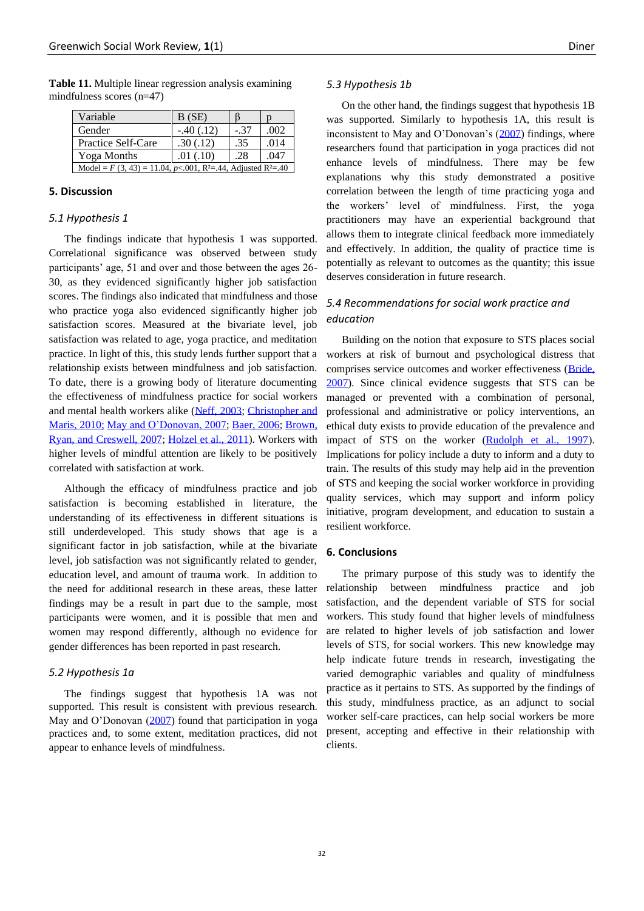| Variable                                                                               | B(SE)       |        |      |  |
|----------------------------------------------------------------------------------------|-------------|--------|------|--|
| Gender                                                                                 | $-.40(.12)$ | $-.37$ | .002 |  |
| Practice Self-Care                                                                     | .30(.12)    | .35    | .014 |  |
| Yoga Months                                                                            | .01(0.10)   | .28    | .047 |  |
| Model = $F(3, 43) = 11.04$ , p<.001, R <sup>2</sup> =.44, Adjusted R <sup>2</sup> =.40 |             |        |      |  |

**Table 11.** Multiple linear regression analysis examining mindfulness scores (n=47)

## **5. Discussion**

# *5.1 Hypothesis 1*

The findings indicate that hypothesis 1 was supported. Correlational significance was observed between study participants' age, 51 and over and those between the ages 26- 30, as they evidenced significantly higher job satisfaction scores. The findings also indicated that mindfulness and those who practice yoga also evidenced significantly higher job satisfaction scores. Measured at the bivariate level, job satisfaction was related to age, yoga practice, and meditation practice. In light of this, this study lends further support that a relationship exists between mindfulness and job satisfaction. To date, there is a growing body of literature documenting the effectiveness of mindfulness practice for social workers and mental health workers alike [\(Neff, 2003;](#page-13-23) [Christopher and](#page-12-14)  [Maris, 2010;](#page-12-14) [May and O'Donovan, 2007;](#page-13-20) [Baer, 2006;](#page-12-19) [Brown,](#page-12-20)  [Ryan, and Creswell, 2007;](#page-12-20) [Holzel et al., 2011\)](#page-13-24). Workers with higher levels of mindful attention are likely to be positively correlated with satisfaction at work.

Although the efficacy of mindfulness practice and job satisfaction is becoming established in literature, the understanding of its effectiveness in different situations is still underdeveloped. This study shows that age is a significant factor in job satisfaction, while at the bivariate level, job satisfaction was not significantly related to gender, education level, and amount of trauma work. In addition to the need for additional research in these areas, these latter findings may be a result in part due to the sample, most participants were women, and it is possible that men and women may respond differently, although no evidence for gender differences has been reported in past research.

#### *5.2 Hypothesis 1a*

The findings suggest that hypothesis 1A was not supported. This result is consistent with previous research. May and O'Donovan [\(2007\)](#page-13-20) found that participation in yoga practices and, to some extent, meditation practices, did not appear to enhance levels of mindfulness.

#### *5.3 Hypothesis 1b*

On the other hand, the findings suggest that hypothesis 1B was supported. Similarly to hypothesis 1A, this result is inconsistent to May and O'Donovan's [\(2007\)](#page-13-20) findings, where researchers found that participation in yoga practices did not enhance levels of mindfulness. There may be few explanations why this study demonstrated a positive correlation between the length of time practicing yoga and the workers' level of mindfulness. First, the yoga practitioners may have an experiential background that allows them to integrate clinical feedback more immediately and effectively. In addition, the quality of practice time is potentially as relevant to outcomes as the quantity; this issue deserves consideration in future research.

# *5.4 Recommendations for social work practice and education*

Building on the notion that exposure to STS places social workers at risk of burnout and psychological distress that comprises service outcomes and worker effectiveness [\(Bride,](#page-12-1)  [2007\)](#page-12-1). Since clinical evidence suggests that STS can be managed or prevented with a combination of personal, professional and administrative or policy interventions, an ethical duty exists to provide education of the prevalence and impact of STS on the worker [\(Rudolph et al., 1997\)](#page-13-14). Implications for policy include a duty to inform and a duty to train. The results of this study may help aid in the prevention of STS and keeping the social worker workforce in providing quality services, which may support and inform policy initiative, program development, and education to sustain a resilient workforce.

# **6. Conclusions**

The primary purpose of this study was to identify the relationship between mindfulness practice and job satisfaction, and the dependent variable of STS for social workers. This study found that higher levels of mindfulness are related to higher levels of job satisfaction and lower levels of STS, for social workers. This new knowledge may help indicate future trends in research, investigating the varied demographic variables and quality of mindfulness practice as it pertains to STS. As supported by the findings of this study, mindfulness practice, as an adjunct to social worker self-care practices, can help social workers be more present, accepting and effective in their relationship with clients.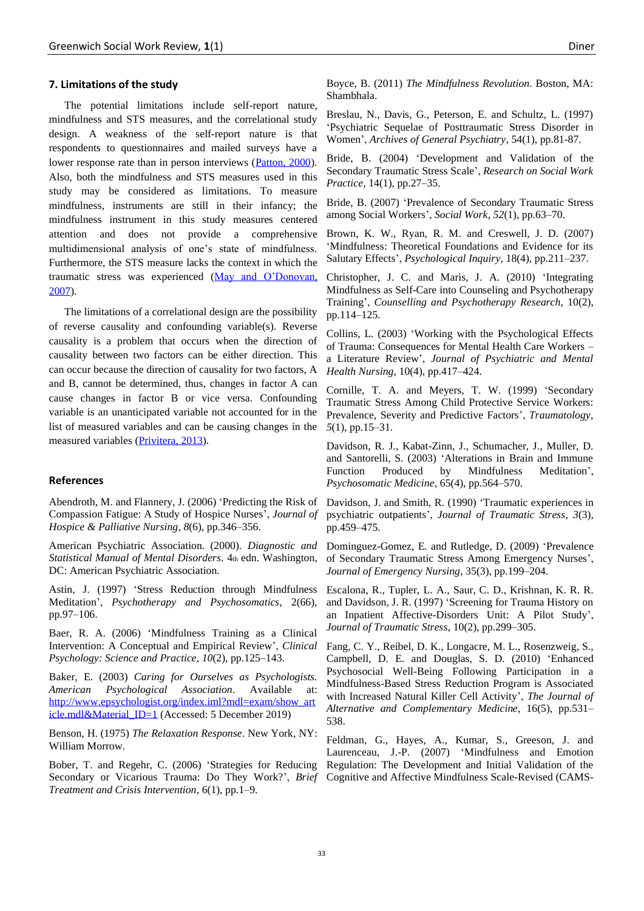#### **7. Limitations of the study**

The potential limitations include self-report nature, mindfulness and STS measures, and the correlational study design. A weakness of the self-report nature is that respondents to questionnaires and mailed surveys have a lower response rate than in person interviews [\(Patton, 2000\)](#page-13-25). Also, both the mindfulness and STS measures used in this study may be considered as limitations. To measure mindfulness, instruments are still in their infancy; the mindfulness instrument in this study measures centered attention and does not provide a comprehensive multidimensional analysis of one's state of mindfulness. Furthermore, the STS measure lacks the context in which the traumatic stress was experienced [\(May and O'Donovan,](#page-13-20)  [2007\)](#page-13-20).

The limitations of a correlational design are the possibility of reverse causality and confounding variable(s). Reverse causality is a problem that occurs when the direction of causality between two factors can be either direction. This can occur because the direction of causality for two factors, A and B, cannot be determined, thus, changes in factor A can cause changes in factor B or vice versa. Confounding variable is an unanticipated variable not accounted for in the list of measured variables and can be causing changes in the measured variables [\(Privitera, 2013\)](#page-13-22).

# **References**

<span id="page-12-0"></span>Abendroth, M. and Flannery, J. (2006) 'Predicting the Risk of Compassion Fatigue: A Study of Hospice Nurses', *Journal of Hospice & Palliative Nursing*, *8*(6), pp.346–356.

American Psychiatric Association. (2000). *Diagnostic and Statistical Manual of Mental Disorders.* 4th edn. Washington, DC: American Psychiatric Association.

<span id="page-12-9"></span>Astin, J. (1997) 'Stress Reduction through Mindfulness Meditation', *Psychotherapy and Psychosomatics*, 2(66), pp.97–106.

<span id="page-12-19"></span>Baer, R. A. (2006) 'Mindfulness Training as a Clinical Intervention: A Conceptual and Empirical Review', *Clinical Psychology: Science and Practice*, *10*(2), pp.125–143.

<span id="page-12-15"></span>Baker, E. (2003) *Caring for Ourselves as Psychologists. American Psychological Association*. Available at: [http://www.epsychologist.org/index.iml?mdl=exam/show\\_art](http://www.epsychologist.org/index.iml?mdl=exam/show_article.mdl&Material_ID=1) [icle.mdl&Material\\_ID=1](http://www.epsychologist.org/index.iml?mdl=exam/show_article.mdl&Material_ID=1) (Accessed: 5 December 2019)

<span id="page-12-11"></span>Benson, H. (1975) *The Relaxation Response*. New York, NY: William Morrow.

<span id="page-12-7"></span>Bober, T. and Regehr, C. (2006) 'Strategies for Reducing Secondary or Vicarious Trauma: Do They Work?', *Brief Treatment and Crisis Intervention*, 6(1), pp.1–9.

<span id="page-12-10"></span>Boyce, B. (2011) *The Mindfulness Revolution*. Boston, MA: Shambhala.

<span id="page-12-4"></span>Breslau, N., Davis, G., Peterson, E. and Schultz, L. (1997) 'Psychiatric Sequelae of Posttraumatic Stress Disorder in Women', *Archives of General Psychiatry*, 54(1), pp.81-87.

<span id="page-12-17"></span>Bride, B. (2004) 'Development and Validation of the Secondary Traumatic Stress Scale', *Research on Social Work Practice*, 14(1), pp.27–35.

<span id="page-12-1"></span>Bride, B. (2007) 'Prevalence of Secondary Traumatic Stress among Social Workers', *Social Work*, *52*(1), pp.63–70.

<span id="page-12-20"></span>Brown, K. W., Ryan, R. M. and Creswell, J. D. (2007) 'Mindfulness: Theoretical Foundations and Evidence for its Salutary Effects', *Psychological Inquiry*, 18(4), pp.211–237.

<span id="page-12-14"></span>Christopher, J. C. and Maris, J. A. (2010) 'Integrating Mindfulness as Self-Care into Counseling and Psychotherapy Training', *Counselling and Psychotherapy Research*, 10(2), pp.114–125.

<span id="page-12-8"></span>Collins, L. (2003) 'Working with the Psychological Effects of Trauma: Consequences for Mental Health Care Workers – a Literature Review', *Journal of Psychiatric and Mental Health Nursing*, 10(4), pp.417–424.

<span id="page-12-2"></span>Cornille, T. A. and Meyers, T. W. (1999) 'Secondary Traumatic Stress Among Child Protective Service Workers: Prevalence, Severity and Predictive Factors', *Traumatology*, *5*(1), pp.15–31.

<span id="page-12-12"></span>Davidson, R. J., Kabat-Zinn, J., Schumacher, J., Muller, D. and Santorelli, S. (2003) 'Alterations in Brain and Immune Function Produced by Mindfulness Meditation', *Psychosomatic Medicine*, 65(4), pp.564–570.

<span id="page-12-6"></span>Davidson, J. and Smith, R. (1990) 'Traumatic experiences in psychiatric outpatients', *Journal of Traumatic Stress*, *3*(3), pp.459–475.

<span id="page-12-16"></span><span id="page-12-3"></span>Dominguez-Gomez, E. and Rutledge, D. (2009) 'Prevalence of Secondary Traumatic Stress Among Emergency Nurses', *Journal of Emergency Nursing*, 35(3), pp.199–204.

<span id="page-12-5"></span>Escalona, R., Tupler, L. A., Saur, C. D., Krishnan, K. R. R. and Davidson, J. R. (1997) 'Screening for Trauma History on an Inpatient Affective-Disorders Unit: A Pilot Study', *Journal of Traumatic Stress*, 10(2), pp.299–305.

<span id="page-12-13"></span>Fang, C. Y., Reibel, D. K., Longacre, M. L., Rosenzweig, S., Campbell, D. E. and Douglas, S. D. (2010) 'Enhanced Psychosocial Well-Being Following Participation in a Mindfulness-Based Stress Reduction Program is Associated with Increased Natural Killer Cell Activity', *The Journal of Alternative and Complementary Medicine*, 16(5), pp.531– 538.

<span id="page-12-18"></span>Feldman, G., Hayes, A., Kumar, S., Greeson, J. and Laurenceau, J.-P. (2007) 'Mindfulness and Emotion Regulation: The Development and Initial Validation of the Cognitive and Affective Mindfulness Scale-Revised (CAMS-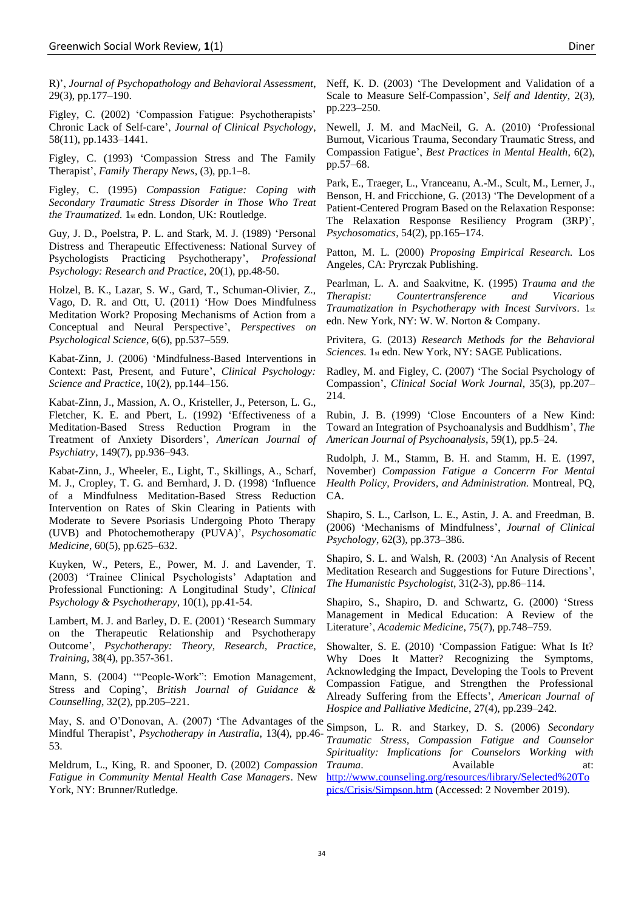R)', *Journal of Psychopathology and Behavioral Assessment*, 29(3), pp.177–190.

<span id="page-13-2"></span>Figley, C. (2002) 'Compassion Fatigue: Psychotherapists' Chronic Lack of Self-care', *Journal of Clinical Psychology*, 58(11), pp.1433–1441.

<span id="page-13-9"></span>Figley, C. (1993) 'Compassion Stress and The Family Therapist', *Family Therapy News*, (3), pp.1–8.

<span id="page-13-8"></span>Figley, C. (1995) *Compassion Fatigue: Coping with Secondary Traumatic Stress Disorder in Those Who Treat the Traumatized.* 1st edn. London, UK: Routledge.

<span id="page-13-12"></span>Guy, J. D., Poelstra, P. L. and Stark, M. J. (1989) 'Personal Distress and Therapeutic Effectiveness: National Survey of Psychologists Practicing Psychotherapy', *Professional Psychology: Research and Practice*, 20(1), pp.48-50.

<span id="page-13-24"></span>Holzel, B. K., Lazar, S. W., Gard, T., Schuman-Olivier, Z., Vago, D. R. and Ott, U. (2011) 'How Does Mindfulness Meditation Work? Proposing Mechanisms of Action from a Conceptual and Neural Perspective', *Perspectives on Psychological Science*, 6(6), pp.537–559.

<span id="page-13-16"></span>Kabat-Zinn, J. (2006) 'Mindfulness-Based Interventions in Context: Past, Present, and Future', *Clinical Psychology: Science and Practice*, 10(2), pp.144–156.

<span id="page-13-5"></span>Kabat-Zinn, J., Massion, A. O., Kristeller, J., Peterson, L. G., Fletcher, K. E. and Pbert, L. (1992) 'Effectiveness of a Meditation-Based Stress Reduction Program in the Treatment of Anxiety Disorders', *American Journal of Psychiatry*, 149(7), pp.936–943.

<span id="page-13-18"></span>Kabat-Zinn, J., Wheeler, E., Light, T., Skillings, A., Scharf, M. J., Cropley, T. G. and Bernhard, J. D. (1998) 'Influence of a Mindfulness Meditation-Based Stress Reduction Intervention on Rates of Skin Clearing in Patients with Moderate to Severe Psoriasis Undergoing Photo Therapy (UVB) and Photochemotherapy (PUVA)', *Psychosomatic Medicine*, 60(5), pp.625–632.

Kuyken, W., Peters, E., Power, M. J. and Lavender, T. (2003) 'Trainee Clinical Psychologists' Adaptation and Professional Functioning: A Longitudinal Study', *Clinical Psychology & Psychotherapy*, 10(1), pp.41-54.

<span id="page-13-7"></span>Lambert, M. J. and Barley, D. E. (2001) 'Research Summary on the Therapeutic Relationship and Psychotherapy Outcome', *Psychotherapy: Theory, Research, Practice, Training,* 38(4), pp.357-361.

<span id="page-13-3"></span>Mann, S. (2004) '"People-Work": Emotion Management, Stress and Coping', *British Journal of Guidance & Counselling*, 32(2), pp.205–221.

<span id="page-13-20"></span>May, S. and O'Donovan, A. (2007) 'The Advantages of the Mindful Therapist', *Psychotherapy in Australia*, 13(4), pp.46- 53.

<span id="page-13-13"></span>Meldrum, L., King, R. and Spooner, D. (2002) *Compassion Fatigue in Community Mental Health Case Managers*. New York, NY: Brunner/Rutledge.

<span id="page-13-23"></span>Neff, K. D. (2003) 'The Development and Validation of a Scale to Measure Self-Compassion', *Self and Identity*, 2(3), pp.223–250.

<span id="page-13-1"></span>Newell, J. M. and MacNeil, G. A. (2010) 'Professional Burnout, Vicarious Trauma, Secondary Traumatic Stress, and Compassion Fatigue', *Best Practices in Mental Health*, 6(2), pp.57–68.

<span id="page-13-17"></span>Park, E., Traeger, L., Vranceanu, A.-M., Scult, M., Lerner, J., Benson, H. and Fricchione, G. (2013) 'The Development of a Patient-Centered Program Based on the Relaxation Response: The Relaxation Response Resiliency Program (3RP)', *Psychosomatics*, 54(2), pp.165–174.

<span id="page-13-25"></span>Patton, M. L. (2000) *Proposing Empirical Research.* Los Angeles, CA: Pryrczak Publishing.

<span id="page-13-4"></span>Pearlman, L. A. and Saakvitne, K. (1995) *Trauma and the Therapist: Countertransference and Vicarious Traumatization in Psychotherapy with Incest Survivors.* 1st edn. New York, NY: W. W. Norton & Company.

<span id="page-13-22"></span>Privitera, G. (2013) *Research Methods for the Behavioral Sciences.* 1st edn. New York, NY: SAGE Publications.

<span id="page-13-10"></span>Radley, M. and Figley, C. (2007) 'The Social Psychology of Compassion', *Clinical Social Work Journal*, 35(3), pp.207– 214.

<span id="page-13-21"></span>Rubin, J. B. (1999) 'Close Encounters of a New Kind: Toward an Integration of Psychoanalysis and Buddhism', *The American Journal of Psychoanalysis*, 59(1), pp.5–24.

<span id="page-13-14"></span>Rudolph, J. M., Stamm, B. H. and Stamm, H. E. (1997, November) *Compassion Fatigue a Concerrn For Mental Health Policy, Providers, and Administration.* Montreal, PQ, CA.

<span id="page-13-15"></span><span id="page-13-6"></span>Shapiro, S. L., Carlson, L. E., Astin, J. A. and Freedman, B. (2006) 'Mechanisms of Mindfulness', *Journal of Clinical Psychology*, 62(3), pp.373–386.

Shapiro, S. L. and Walsh, R. (2003) 'An Analysis of Recent Meditation Research and Suggestions for Future Directions', *The Humanistic Psychologist*, 31(2-3), pp.86–114.

<span id="page-13-19"></span>Shapiro, S., Shapiro, D. and Schwartz, G. (2000) 'Stress Management in Medical Education: A Review of the Literature', *Academic Medicine*, 75(7), pp.748–759.

<span id="page-13-11"></span>Showalter, S. E. (2010) 'Compassion Fatigue: What Is It? Why Does It Matter? Recognizing the Symptoms, Acknowledging the Impact, Developing the Tools to Prevent Compassion Fatigue, and Strengthen the Professional Already Suffering from the Effects', *American Journal of Hospice and Palliative Medicine*, 27(4), pp.239–242.

<span id="page-13-0"></span>Simpson, L. R. and Starkey, D. S. (2006) *Secondary Traumatic Stress, Compassion Fatigue and Counselor Spirituality: Implications for Counselors Working with Trauma*. Available at: [http://www.counseling.org/resources/library/Selected%20To](http://www.counseling.org/resources/library/Selected%20Topics/Crisis/Simpson.htm) [pics/Crisis/Simpson.htm](http://www.counseling.org/resources/library/Selected%20Topics/Crisis/Simpson.htm) (Accessed: 2 November 2019).